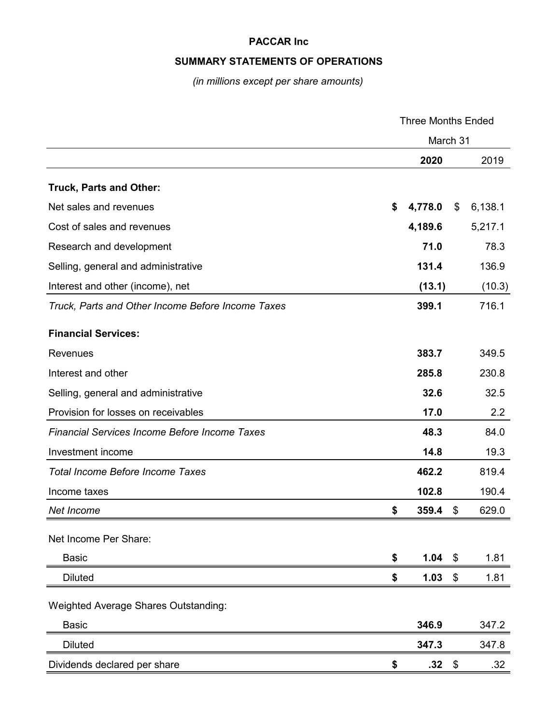## **SUMMARY STATEMENTS OF OPERATIONS**

*(in millions except per share amounts)*

|                                                      | <b>Three Months Ended</b> |           |            |         |
|------------------------------------------------------|---------------------------|-----------|------------|---------|
|                                                      | March 31                  |           |            |         |
|                                                      |                           | 2020      |            | 2019    |
| <b>Truck, Parts and Other:</b>                       |                           |           |            |         |
| Net sales and revenues                               | \$                        | 4,778.0   | \$         | 6,138.1 |
| Cost of sales and revenues                           |                           | 4,189.6   |            | 5,217.1 |
| Research and development                             |                           | 71.0      |            | 78.3    |
| Selling, general and administrative                  |                           | 131.4     |            | 136.9   |
| Interest and other (income), net                     |                           | (13.1)    |            | (10.3)  |
| Truck, Parts and Other Income Before Income Taxes    |                           | 399.1     |            | 716.1   |
| <b>Financial Services:</b>                           |                           |           |            |         |
| <b>Revenues</b>                                      |                           | 383.7     |            | 349.5   |
| Interest and other                                   |                           | 285.8     |            | 230.8   |
| Selling, general and administrative                  |                           | 32.6      |            | 32.5    |
| Provision for losses on receivables                  |                           | 17.0      |            | 2.2     |
| <b>Financial Services Income Before Income Taxes</b> |                           | 48.3      |            | 84.0    |
| Investment income                                    |                           | 14.8      |            | 19.3    |
| <b>Total Income Before Income Taxes</b>              |                           | 462.2     |            | 819.4   |
| Income taxes                                         |                           | 102.8     |            | 190.4   |
| Net Income                                           | \$                        | 359.4     | \$         | 629.0   |
| Net Income Per Share:                                |                           |           |            |         |
| <b>Basic</b>                                         | \$                        | 1.04      | $\sqrt{3}$ | 1.81    |
| <b>Diluted</b>                                       | \$                        | $1.03$ \$ |            | 1.81    |
| Weighted Average Shares Outstanding:                 |                           |           |            |         |
| <b>Basic</b>                                         |                           | 346.9     |            | 347.2   |
| <b>Diluted</b>                                       |                           | 347.3     |            | 347.8   |
| Dividends declared per share                         | \$                        | .32       | \$         | .32     |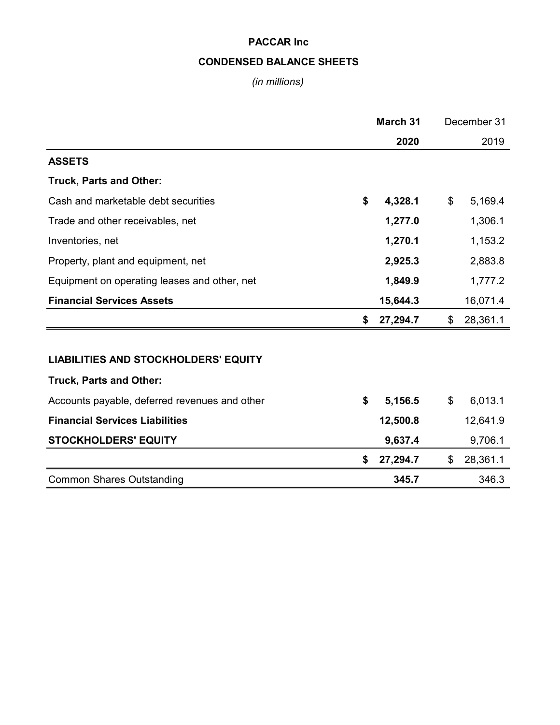# **CONDENSED BALANCE SHEETS**

# *(in millions)*

|                                               | <b>March 31</b> |    | December 31 |
|-----------------------------------------------|-----------------|----|-------------|
|                                               | 2020            |    | 2019        |
| <b>ASSETS</b>                                 |                 |    |             |
| <b>Truck, Parts and Other:</b>                |                 |    |             |
| Cash and marketable debt securities           | \$<br>4,328.1   | \$ | 5,169.4     |
| Trade and other receivables, net              | 1,277.0         |    | 1,306.1     |
| Inventories, net                              | 1,270.1         |    | 1,153.2     |
| Property, plant and equipment, net            | 2,925.3         |    | 2,883.8     |
| Equipment on operating leases and other, net  | 1,849.9         |    | 1,777.2     |
| <b>Financial Services Assets</b>              | 15,644.3        |    | 16,071.4    |
|                                               | \$<br>27,294.7  | \$ | 28,361.1    |
|                                               |                 |    |             |
| <b>LIABILITIES AND STOCKHOLDERS' EQUITY</b>   |                 |    |             |
| <b>Truck, Parts and Other:</b>                |                 |    |             |
| Accounts payable, deferred revenues and other | \$<br>5,156.5   | \$ | 6,013.1     |
| <b>Financial Services Liabilities</b>         | 12,500.8        |    | 12,641.9    |
| <b>STOCKHOLDERS' EQUITY</b>                   | 9,637.4         |    | 9,706.1     |
|                                               | \$<br>27,294.7  | \$ | 28,361.1    |
| <b>Common Shares Outstanding</b>              | 345.7           |    | 346.3       |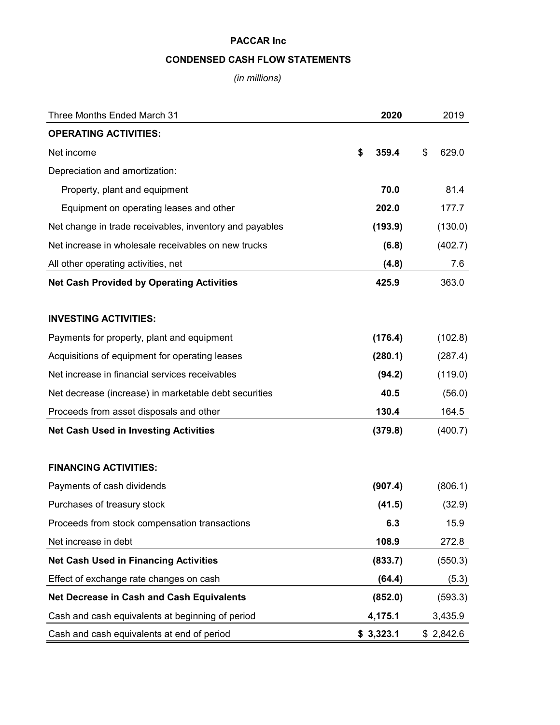## **CONDENSED CASH FLOW STATEMENTS**

*(in millions)*

| Three Months Ended March 31                             | 2020        | 2019        |
|---------------------------------------------------------|-------------|-------------|
| <b>OPERATING ACTIVITIES:</b>                            |             |             |
| Net income                                              | \$<br>359.4 | \$<br>629.0 |
| Depreciation and amortization:                          |             |             |
| Property, plant and equipment                           | 70.0        | 81.4        |
| Equipment on operating leases and other                 | 202.0       | 177.7       |
| Net change in trade receivables, inventory and payables | (193.9)     | (130.0)     |
| Net increase in wholesale receivables on new trucks     | (6.8)       | (402.7)     |
| All other operating activities, net                     | (4.8)       | 7.6         |
| <b>Net Cash Provided by Operating Activities</b>        | 425.9       | 363.0       |
| <b>INVESTING ACTIVITIES:</b>                            |             |             |
| Payments for property, plant and equipment              | (176.4)     | (102.8)     |
| Acquisitions of equipment for operating leases          | (280.1)     | (287.4)     |
| Net increase in financial services receivables          | (94.2)      | (119.0)     |
| Net decrease (increase) in marketable debt securities   | 40.5        | (56.0)      |
| Proceeds from asset disposals and other                 | 130.4       | 164.5       |
| <b>Net Cash Used in Investing Activities</b>            | (379.8)     | (400.7)     |
| <b>FINANCING ACTIVITIES:</b>                            |             |             |
| Payments of cash dividends                              | (907.4)     | (806.1)     |
| Purchases of treasury stock                             | (41.5)      | (32.9)      |
| Proceeds from stock compensation transactions           | 6.3         | 15.9        |
| Net increase in debt                                    | 108.9       | 272.8       |
| <b>Net Cash Used in Financing Activities</b>            | (833.7)     | (550.3)     |
| Effect of exchange rate changes on cash                 | (64.4)      | (5.3)       |
| Net Decrease in Cash and Cash Equivalents               | (852.0)     | (593.3)     |
| Cash and cash equivalents at beginning of period        | 4,175.1     | 3,435.9     |
| Cash and cash equivalents at end of period              | \$3,323.1   | \$2,842.6   |